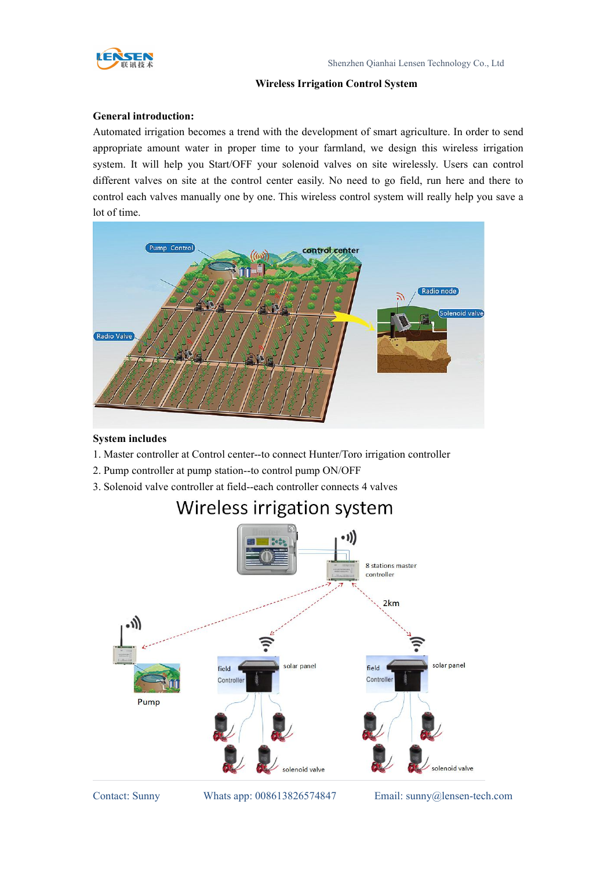

### **Wireless Irrigation Control System**

### **General introduction:**

Automated irrigation becomes a trend with the development of smart agriculture. In order to send appropriate amount water in proper time to your farmland, we design this wireless irrigation system. It will help you Start/OFF your solenoid valves on site wirelessly. Users can control different valves on site at the control center easily. No need to go field, run here and there to control each valves manually one by one. This wireless control system will really help you save a lot of time.



### **System includes**

- 1. Master controller at Control center--to connect Hunter/Toro irrigation controller
- 2. Pump controller at pump station--to control pump ON/OFF
- 3. Solenoid valve controller at field--each controller connects 4 valves



### Wireless irrigation system

Contact: Sunny Whats app: 008613826574847 Email: sunny@lensen-tech.com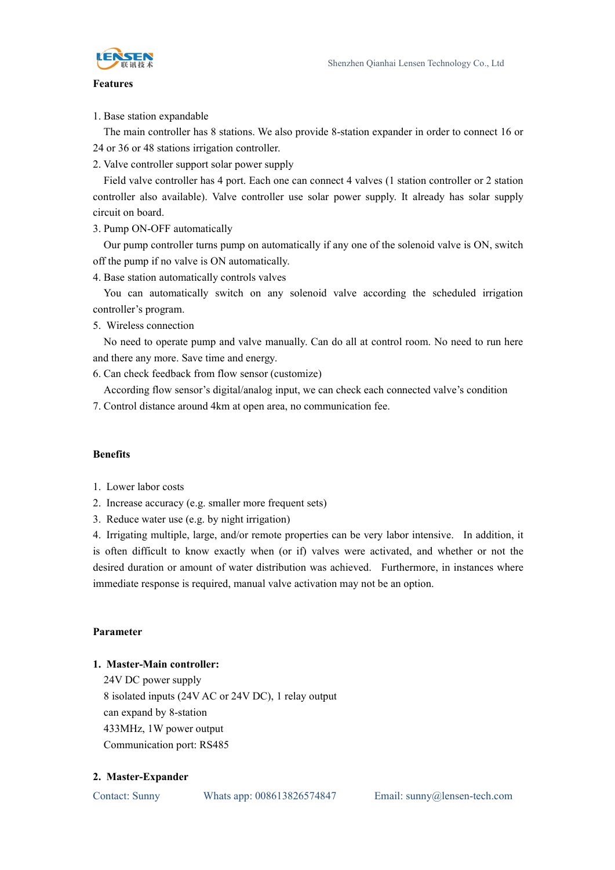

### **Features**

1. Base station expandable

The main controller has 8 stations. We also provide 8-station expander in order to connect 16 or 24 or 36 or 48 stations irrigation controller.

2. Valve controller support solar power supply

Field valve controller has 4 port. Each one can connect 4 valves (1 station controller or 2 station controller also available). Valve controller use solar power supply. It already has solar supply circuit on board.

3. Pump ON-OFF automatically

Our pump controller turns pump on automatically if any one of the solenoid valve is ON, switch off the pump if no valve is ON automatically.

4. Base station automatically controls valves

You can automatically switch on any solenoid valve according the scheduled irrigation controller's program.

5. Wireless connection

No need to operate pump and valve manually. Can do all at control room. No need to run here and there any more. Save time and energy.

6. Can check feedback from flow sensor (customize)

According flow sensor's digital/analog input, we can check each connected valve's condition

7. Control distance around 4km at open area, no communication fee.

#### **Benefits**

- 1. Lower labor costs
- 2. Increase accuracy (e.g. smaller more frequent sets)
- 3. Reduce water use (e.g. by night irrigation)

4. Irrigating multiple, large, and/or remote properties can be very labor intensive. In addition, it is often difficult to know exactly when (or if) valves were activated, and whether or not the desired duration or amount of water distribution was achieved. Furthermore, in instances where immediate response is required, manual valve activation may not be an option.

### **Parameter**

### **1. Master-Main controller:**

24V DC power supply 8 isolated inputs (24V AC or 24V DC), 1 relay output can expand by 8-station 433MHz, 1W power output Communication port: RS485

#### **2. Master-Expander**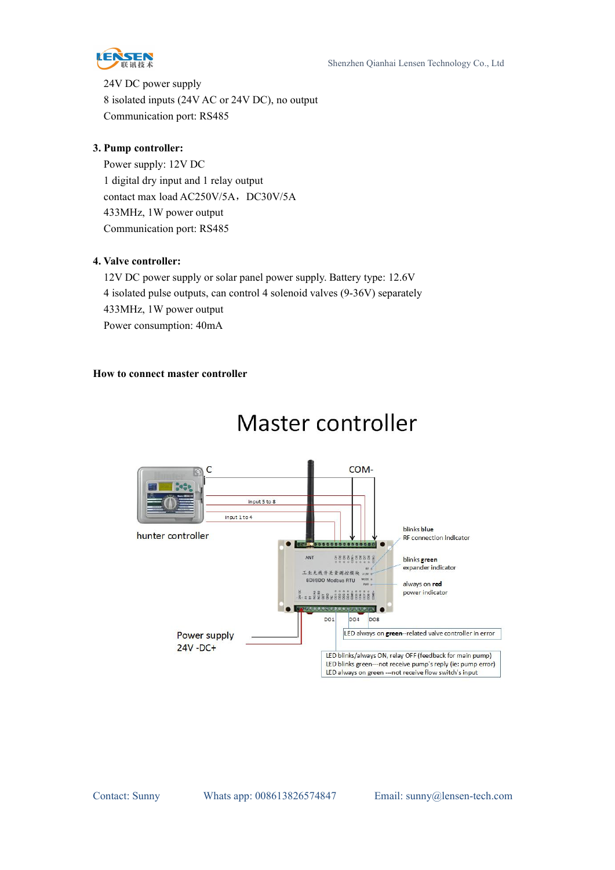

24V DC power supply 8 isolated inputs (24V AC or 24V DC), no output Communication port: RS485

### **3. Pump controller:**

Power supply: 12V DC 1 digital dry input and 1 relay output contact max load AC250V/5A, DC30V/5A 433MHz, 1W power output Communication port: RS485

### **4. Valve controller:**

12V DC power supply or solar panel power supply. Battery type: 12.6V 4 isolated pulse outputs, can control 4 solenoid valves (9-36V) separately 433MHz, 1W power output Power consumption: 40mA

### **How to connect master controller**



### Master controller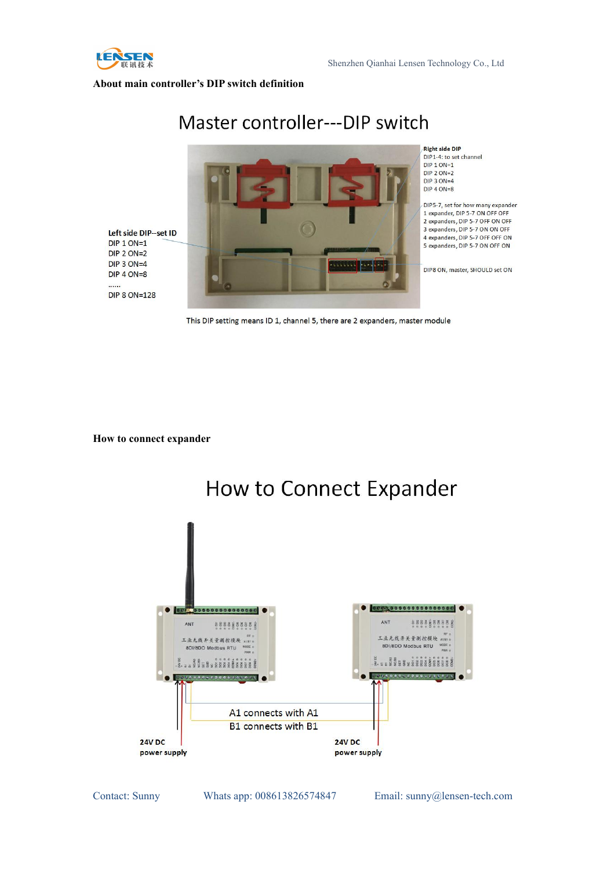

#### **About main controller's DIP switch definition**

#### **Right side DIP** DIP1-4: to set channel  $DIP$  1 ON=1  $DIP 2 ON=2$  $DIP$  3  $ON=4$ DIP 4 ON=8 DIP5-7, set for how many expander 1 expander. DIP 5-7 ON OFF OFF 2 expanders, DIP 5-7 OFF ON OFF 3 expanders, DIP 5-7 ON ON OFF Left side DIP--set ID 4 expanders, DIP 5-7 OFF OFF ON **DIP 1 ON=1** 5 expanders, DIP 5-7 ON OFF ON **DIP 2 ON=2** DIP  $3$  ON=4  $1.1.11$ DIP8 ON, master, SHOULD set ON **DIP 4 ON=8**  $......$ **DIP 8 ON=128**

### Master controller---DIP switch

This DIP setting means ID 1, channel 5, there are 2 expanders, master module

**How to connect expander**



Contact: Sunny Whats app: 008613826574847 Email: sunny@lensen-tech.com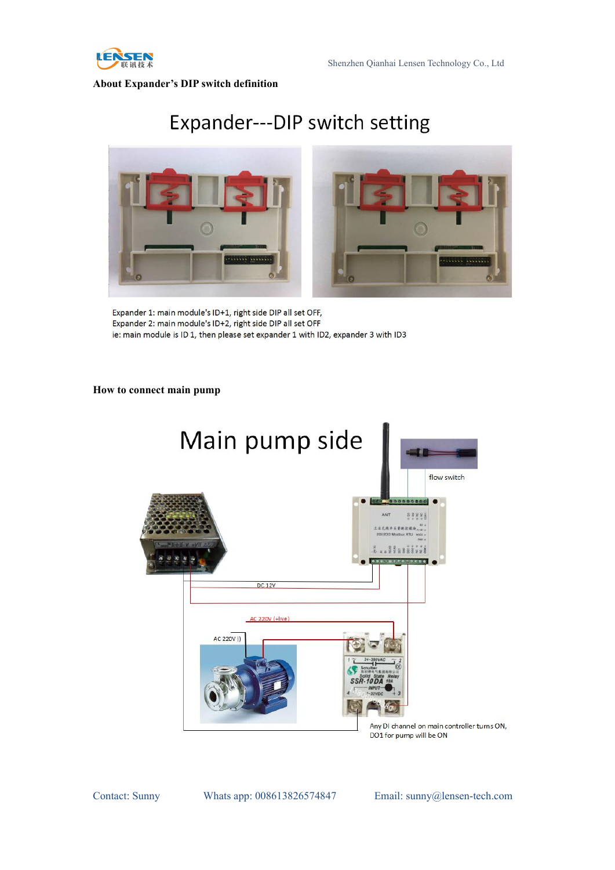

**About Expander's DIP switch definition**

## Expander---DIP switch setting



Expander 1: main module's ID+1, right side DIP all set OFF, Expander 2: main module's ID+2, right side DIP all set OFF ie: main module is ID 1, then please set expander 1 with ID2, expander 3 with ID3

### **How to connect main pump**